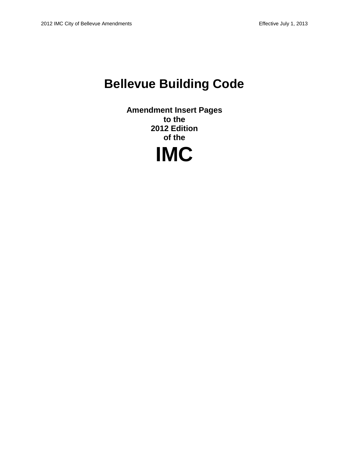# **Bellevue Building Code**

**Amendment Insert Pages to the 2012 Edition of the**

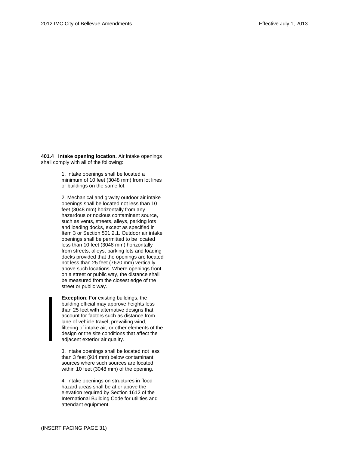**401.4 Intake opening location.** Air intake openings shall comply with all of the following:

> 1. Intake openings shall be located a minimum of 10 feet (3048 mm) from lot lines or buildings on the same lot.

2. Mechanical and gravity outdoor air intake openings shall be located not less than 10 feet (3048 mm) horizontally from any hazardous or noxious contaminant source, such as vents, streets, alleys, parking lots and loading docks, except as specified in Item 3 or Section 501.2.1. Outdoor air intake openings shall be permitted to be located less than 10 feet (3048 mm) horizontally from streets, alleys, parking lots and loading docks provided that the openings are located not less than 25 feet (7620 mm) vertically above such locations. Where openings front on a street or public way, the distance shall be measured from the closest edge of the street or public way.

**Exception**: For existing buildings, the building official may approve heights less than 25 feet with alternative designs that account for factors such as distance from lane of vehicle travel, prevailing wind, filtering of intake air, or other elements of the design or the site conditions that affect the adjacent exterior air quality.

3. Intake openings shall be located not less than 3 feet (914 mm) below contaminant sources where such sources are located within 10 feet (3048 mm) of the opening.

4. Intake openings on structures in flood hazard areas shall be at or above the elevation required by Section 1612 of the International Building Code for utilities and attendant equipment.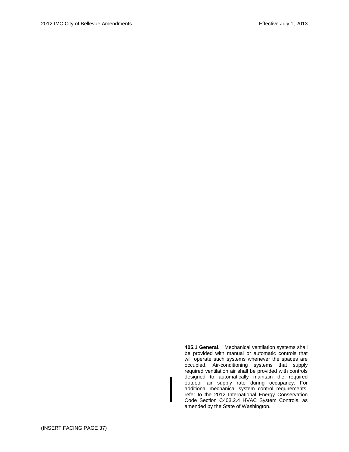**405.1 General.** Mechanical ventilation systems shall be provided with manual or automatic controls that will operate such systems whenever the spaces are occupied. Air-conditioning systems that supply required ventilation air shall be provided with controls designed to automatically maintain the required outdoor air supply rate during occupancy. For additional mechanical system control requirements, refer to the 2012 International Energy Conservation Code Section C403.2.4 HVAC System Controls, as amended by the State of Washington.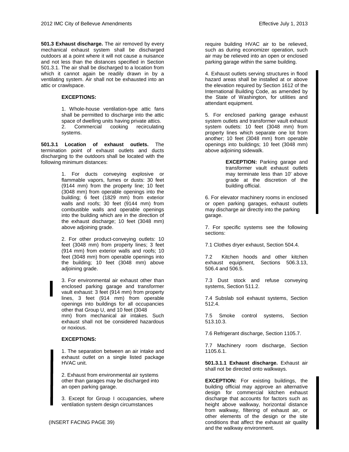**501.3 Exhaust discharge.** The air removed by every mechanical exhaust system shall be discharged outdoors at a point where it will not cause a nuisance and not less than the distances specified in Section 501.3.1. The air shall be discharged to a location from which it cannot again be readily drawn in by a ventilating system. Air shall not be exhausted into an attic or crawlspace.

#### **EXCEPTIONS:**

1. Whole-house ventilation-type attic fans shall be permitted to discharge into the attic space of dwelling units having private attics. 2. Commercial cooking recirculating systems.

**501.3.1 Location of exhaust outlets.** The termination point of exhaust outlets and ducts discharging to the outdoors shall be located with the following minimum distances:

> 1. For ducts conveying explosive or flammable vapors, fumes or dusts: 30 feet (9144 mm) from the property line; 10 feet (3048 mm) from operable openings into the building; 6 feet (1829 mm) from exterior walls and roofs; 30 feet (9144 mm) from combustible walls and operable openings into the building which are in the direction of the exhaust discharge; 10 feet (3048 mm) above adjoining grade.

> 2. For other product-conveying outlets: 10 feet (3048 mm) from property lines; 3 feet (914 mm) from exterior walls and roofs; 10 feet (3048 mm) from operable openings into the building; 10 feet (3048 mm) above adjoining grade.

> 3. For environmental air exhaust other than enclosed parking garage and transformer vault exhaust: 3 feet (914 mm) from property lines, 3 feet (914 mm) from operable openings into buildings for all occupancies other that Group U, and 10 feet (3048 mm) from mechanical air intakes. Such exhaust shall not be considered hazardous or noxious.

#### **EXCEPTIONS:**

1. The separation between an air intake and exhaust outlet on a single listed package HVAC unit.

2. Exhaust from environmental air systems other than garages may be discharged into an open parking garage.

3. Except for Group I occupancies, where ventilation system design circumstances

require building HVAC air to be relieved, such as during economizer operation, such air may be relieved into an open or enclosed parking garage within the same building.

4. Exhaust outlets serving structures in flood hazard areas shall be installed at or above the elevation required by Section 1612 of the International Building Code, as amended by the State of Washington, for utilities and attendant equipment.

5. For enclosed parking garage exhaust system outlets and transformer vault exhaust system outlets: 10 feet (3048 mm) from property lines which separate one lot from another; 10 feet (3048 mm) from operable openings into buildings; 10 feet (3048 mm) above adjoining sidewalk.

> **EXCEPTION:** Parking garage and transformer vault exhaust outlets may terminate less than 10' above grade at the discretion of the building official.

6. For elevator machinery rooms in enclosed or open parking garages, exhaust outlets may discharge air directly into the parking garage.

7. For specific systems see the following sections:

7.1 Clothes dryer exhaust, Section 504.4.

7.2 Kitchen hoods and other kitchen exhaust equipment, Sections 506.3.13, 506.4 and 506.5.

7.3 Dust stock and refuse conveying systems, Section 511.2.

7.4 Subslab soil exhaust systems, Section 512.4.

7.5 Smoke control systems, Section 513.10.3.

7.6 Refrigerant discharge, Section 1105.7.

7.7 Machinery room discharge, Section 1105.6.1.

**501.3.1.1 Exhaust discharge.** Exhaust air shall not be directed onto walkways.

**EXCEPTION:** For existing buildings, the building official may approve an alternative design for commercial kitchen exhaust discharge that accounts for factors such as height above walkway, horizontal distance from walkway, filtering of exhaust air, or other elements of the design or the site conditions that affect the exhaust air quality and the walkway environment.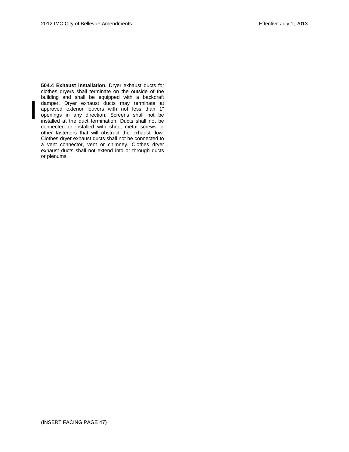**504.4 Exhaust installation.** Dryer exhaust ducts for clothes dryers shall terminate on the outside of the building and shall be equipped with a backdraft damper. Dryer exhaust ducts may terminate at approved exterior louvers with not less than 1" openings in any direction. Screens shall not be installed at the duct termination. Ducts shall not be connected or installed with sheet metal screws or other fasteners that will obstruct the exhaust flow. Clothes dryer exhaust ducts shall not be connected to a vent connector, vent or chimney. Clothes dryer exhaust ducts shall not extend into or through ducts or plenums.